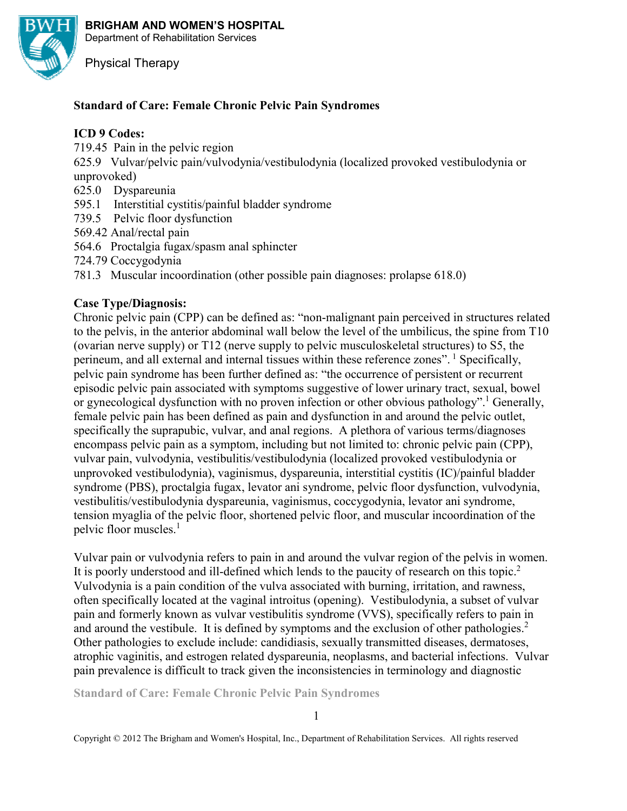

**BRIGHAM AND WOMEN'S HOSPITAL**  Department of Rehabilitation Services

Physical Therapy

# **Standard of Care: Female Chronic Pelvic Pain Syndromes**

### **ICD 9 Codes:**

719.45 Pain in the pelvic region

625.9 Vulvar/pelvic pain/vulvodynia/vestibulodynia (localized provoked vestibulodynia or unprovoked)

- 625.0 Dyspareunia
- 595.1 Interstitial cystitis/painful bladder syndrome
- 739.5 Pelvic floor dysfunction
- 569.42 Anal/rectal pain
- 564.6 Proctalgia fugax/spasm anal sphincter
- 724.79 Coccygodynia
- 781.3 Muscular incoordination (other possible pain diagnoses: prolapse 618.0)

## **Case Type/Diagnosis:**

Chronic pelvic pain (CPP) can be defined as: "non-malignant pain perceived in structures related to the pelvis, in the anterior abdominal wall below the level of the umbilicus, the spine from T10 (ovarian nerve supply) or T12 (nerve supply to pelvic musculoskeletal structures) to S5, the perineum, and all external and internal tissues within these reference zones". <sup>1</sup> Specifically, pelvic pain syndrome has been further defined as: "the occurrence of persistent or recurrent episodic pelvic pain associated with symptoms suggestive of lower urinary tract, sexual, bowel or gynecological dysfunction with no proven infection or other obvious pathology".<sup>1</sup> Generally, female pelvic pain has been defined as pain and dysfunction in and around the pelvic outlet, specifically the suprapubic, vulvar, and anal regions. A plethora of various terms/diagnoses encompass pelvic pain as a symptom, including but not limited to: chronic pelvic pain (CPP), vulvar pain, vulvodynia, vestibulitis/vestibulodynia (localized provoked vestibulodynia or unprovoked vestibulodynia), vaginismus, dyspareunia, interstitial cystitis (IC)/painful bladder syndrome (PBS), proctalgia fugax, levator ani syndrome, pelvic floor dysfunction, vulvodynia, vestibulitis/vestibulodynia dyspareunia, vaginismus, coccygodynia, levator ani syndrome, tension myaglia of the pelvic floor, shortened pelvic floor, and muscular incoordination of the pelvic floor muscles.<sup>1</sup>

Vulvar pain or vulvodynia refers to pain in and around the vulvar region of the pelvis in women. It is poorly understood and ill-defined which lends to the paucity of research on this topic.<sup>2</sup> Vulvodynia is a pain condition of the vulva associated with burning, irritation, and rawness, often specifically located at the vaginal introitus (opening). Vestibulodynia, a subset of vulvar pain and formerly known as vulvar vestibulitis syndrome (VVS), specifically refers to pain in and around the vestibule. It is defined by symptoms and the exclusion of other pathologies. $2$ Other pathologies to exclude include: candidiasis, sexually transmitted diseases, dermatoses, atrophic vaginitis, and estrogen related dyspareunia, neoplasms, and bacterial infections. Vulvar pain prevalence is difficult to track given the inconsistencies in terminology and diagnostic

**Standard of Care: Female Chronic Pelvic Pain Syndromes**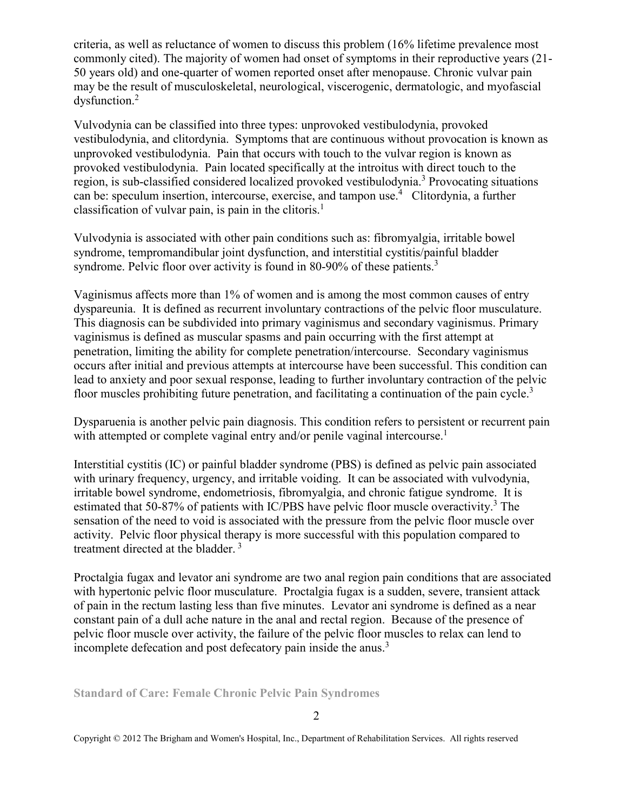criteria, as well as reluctance of women to discuss this problem (16% lifetime prevalence most commonly cited). The majority of women had onset of symptoms in their reproductive years (21- 50 years old) and one-quarter of women reported onset after menopause. Chronic vulvar pain may be the result of musculoskeletal, neurological, viscerogenic, dermatologic, and myofascial dysfunction.<sup>2</sup>

Vulvodynia can be classified into three types: unprovoked vestibulodynia, provoked vestibulodynia, and clitordynia. Symptoms that are continuous without provocation is known as unprovoked vestibulodynia. Pain that occurs with touch to the vulvar region is known as provoked vestibulodynia. Pain located specifically at the introitus with direct touch to the region, is sub-classified considered localized provoked vestibulodynia.<sup>3</sup> Provocating situations can be: speculum insertion, intercourse, exercise, and tampon use.<sup>4</sup> Clitordynia, a further classification of vulvar pain, is pain in the clitoris.<sup>1</sup>

Vulvodynia is associated with other pain conditions such as: fibromyalgia, irritable bowel syndrome, tempromandibular joint dysfunction, and interstitial cystitis/painful bladder syndrome. Pelvic floor over activity is found in 80-90% of these patients.<sup>3</sup>

Vaginismus affects more than 1% of women and is among the most common causes of entry dyspareunia. It is defined as recurrent involuntary contractions of the pelvic floor musculature. This diagnosis can be subdivided into primary vaginismus and secondary vaginismus. Primary vaginismus is defined as muscular spasms and pain occurring with the first attempt at penetration, limiting the ability for complete penetration/intercourse. Secondary vaginismus occurs after initial and previous attempts at intercourse have been successful. This condition can lead to anxiety and poor sexual response, leading to further involuntary contraction of the pelvic floor muscles prohibiting future penetration, and facilitating a continuation of the pain cycle.<sup>3</sup>

Dysparuenia is another pelvic pain diagnosis. This condition refers to persistent or recurrent pain with attempted or complete vaginal entry and/or penile vaginal intercourse.<sup>1</sup>

Interstitial cystitis (IC) or painful bladder syndrome (PBS) is defined as pelvic pain associated with urinary frequency, urgency, and irritable voiding. It can be associated with vulvodynia, irritable bowel syndrome, endometriosis, fibromyalgia, and chronic fatigue syndrome. It is estimated that 50-87% of patients with IC/PBS have pelvic floor muscle overactivity.<sup>3</sup> The sensation of the need to void is associated with the pressure from the pelvic floor muscle over activity. Pelvic floor physical therapy is more successful with this population compared to treatment directed at the bladder.<sup>3</sup>

Proctalgia fugax and levator ani syndrome are two anal region pain conditions that are associated with hypertonic pelvic floor musculature. Proctalgia fugax is a sudden, severe, transient attack of pain in the rectum lasting less than five minutes. Levator ani syndrome is defined as a near constant pain of a dull ache nature in the anal and rectal region. Because of the presence of pelvic floor muscle over activity, the failure of the pelvic floor muscles to relax can lend to incomplete defecation and post defecatory pain inside the anus.<sup>3</sup>

**Standard of Care: Female Chronic Pelvic Pain Syndromes**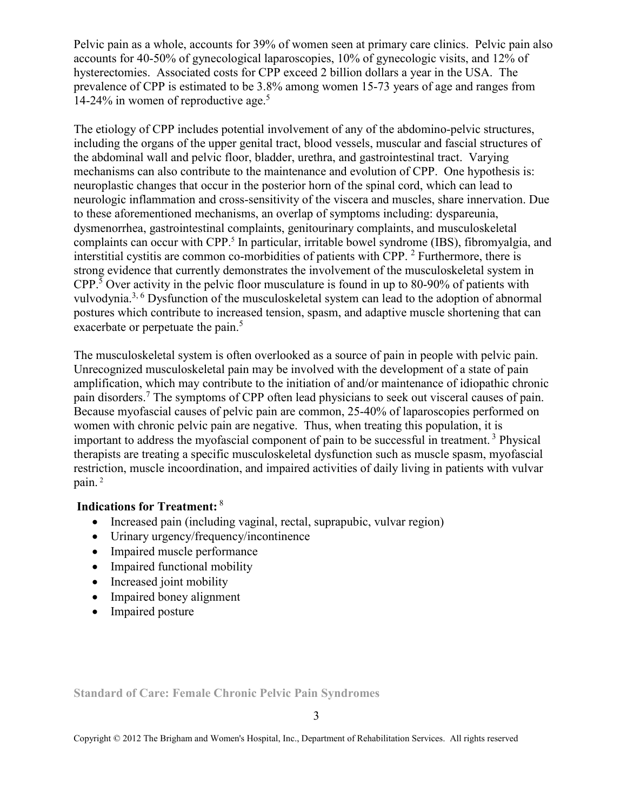Pelvic pain as a whole, accounts for 39% of women seen at primary care clinics. Pelvic pain also accounts for 40-50% of gynecological laparoscopies, 10% of gynecologic visits, and 12% of hysterectomies. Associated costs for CPP exceed 2 billion dollars a year in the USA. The prevalence of CPP is estimated to be 3.8% among women 15-73 years of age and ranges from 14-24% in women of reproductive age. $5$ 

The etiology of CPP includes potential involvement of any of the abdomino-pelvic structures, including the organs of the upper genital tract, blood vessels, muscular and fascial structures of the abdominal wall and pelvic floor, bladder, urethra, and gastrointestinal tract. Varying mechanisms can also contribute to the maintenance and evolution of CPP. One hypothesis is: neuroplastic changes that occur in the posterior horn of the spinal cord, which can lead to neurologic inflammation and cross-sensitivity of the viscera and muscles, share innervation. Due to these aforementioned mechanisms, an overlap of symptoms including: dyspareunia, dysmenorrhea, gastrointestinal complaints, genitourinary complaints, and musculoskeletal complaints can occur with CPP.<sup>5</sup> In particular, irritable bowel syndrome (IBS), fibromyalgia, and interstitial cystitis are common co-morbidities of patients with CPP. <sup>2</sup> Furthermore, there is strong evidence that currently demonstrates the involvement of the musculoskeletal system in CPP.<sup>5</sup> Over activity in the pelvic floor musculature is found in up to 80-90% of patients with vulvodynia.3, 6 Dysfunction of the musculoskeletal system can lead to the adoption of abnormal postures which contribute to increased tension, spasm, and adaptive muscle shortening that can exacerbate or perpetuate the pain.<sup>5</sup>

The musculoskeletal system is often overlooked as a source of pain in people with pelvic pain. Unrecognized musculoskeletal pain may be involved with the development of a state of pain amplification, which may contribute to the initiation of and/or maintenance of idiopathic chronic pain disorders.<sup>7</sup> The symptoms of CPP often lead physicians to seek out visceral causes of pain. Because myofascial causes of pelvic pain are common, 25-40% of laparoscopies performed on women with chronic pelvic pain are negative. Thus, when treating this population, it is important to address the myofascial component of pain to be successful in treatment.<sup>3</sup> Physical therapists are treating a specific musculoskeletal dysfunction such as muscle spasm, myofascial restriction, muscle incoordination, and impaired activities of daily living in patients with vulvar pain. $^2$ 

# **Indications for Treatment:**<sup>8</sup>

- Increased pain (including vaginal, rectal, suprapubic, vulvar region)
- Urinary urgency/frequency/incontinence
- Impaired muscle performance
- Impaired functional mobility
- Increased joint mobility
- Impaired boney alignment
- Impaired posture

**Standard of Care: Female Chronic Pelvic Pain Syndromes**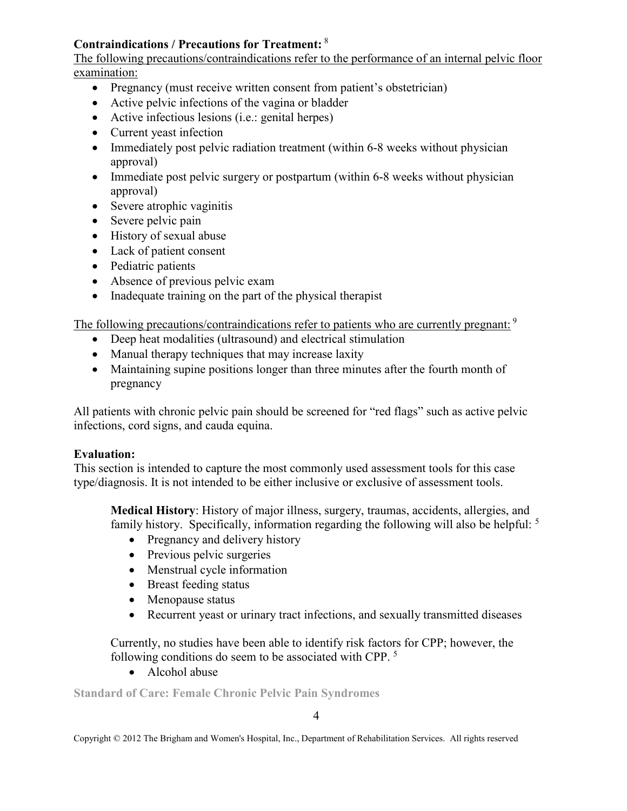# **Contraindications / Precautions for Treatment:**<sup>8</sup>

The following precautions/contraindications refer to the performance of an internal pelvic floor examination:

- Pregnancy (must receive written consent from patient's obstetrician)
- Active pelvic infections of the vagina or bladder
- Active infectious lesions (i.e.: genital herpes)
- Current yeast infection
- Immediately post pelvic radiation treatment (within 6-8 weeks without physician approval)
- Immediate post pelvic surgery or postpartum (within 6-8 weeks without physician approval)
- Severe atrophic vaginitis
- Severe pelvic pain
- History of sexual abuse
- Lack of patient consent
- Pediatric patients
- Absence of previous pelvic exam
- Inadequate training on the part of the physical therapist

The following precautions/contraindications refer to patients who are currently pregnant: <sup>9</sup>

- Deep heat modalities (ultrasound) and electrical stimulation
- Manual therapy techniques that may increase laxity
- Maintaining supine positions longer than three minutes after the fourth month of pregnancy

All patients with chronic pelvic pain should be screened for "red flags" such as active pelvic infections, cord signs, and cauda equina.

# **Evaluation:**

This section is intended to capture the most commonly used assessment tools for this case type/diagnosis. It is not intended to be either inclusive or exclusive of assessment tools.

**Medical History**: History of major illness, surgery, traumas, accidents, allergies, and family history. Specifically, information regarding the following will also be helpful: <sup>5</sup>

- Pregnancy and delivery history
- Previous pelvic surgeries
- Menstrual cycle information
- Breast feeding status
- Menopause status
- Recurrent yeast or urinary tract infections, and sexually transmitted diseases

Currently, no studies have been able to identify risk factors for CPP; however, the following conditions do seem to be associated with CPP.<sup>5</sup>

• Alcohol abuse

**Standard of Care: Female Chronic Pelvic Pain Syndromes** 

4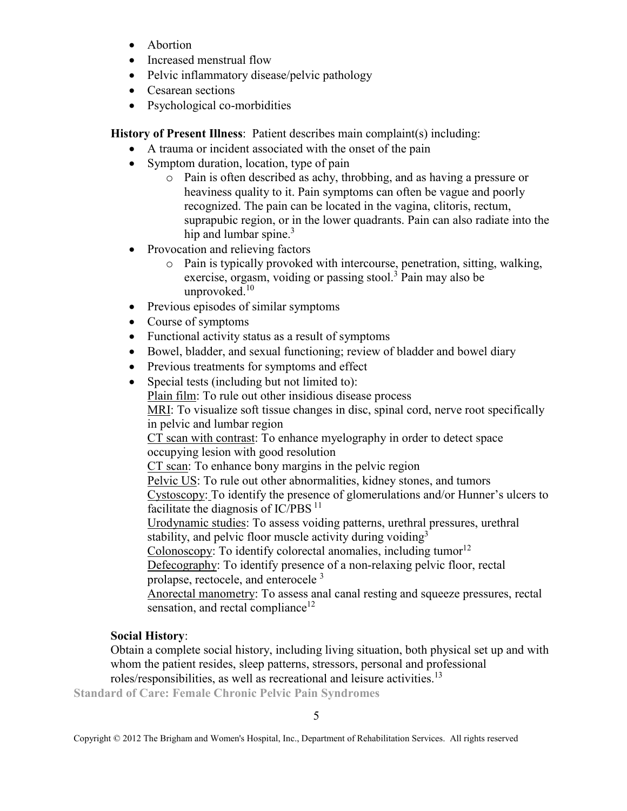- Abortion
- Increased menstrual flow
- Pelvic inflammatory disease/pelvic pathology
- Cesarean sections
- Psychological co-morbidities

**History of Present Illness**: Patient describes main complaint(s) including:

- A trauma or incident associated with the onset of the pain
- Symptom duration, location, type of pain
	- o Pain is often described as achy, throbbing, and as having a pressure or heaviness quality to it. Pain symptoms can often be vague and poorly recognized. The pain can be located in the vagina, clitoris, rectum, suprapubic region, or in the lower quadrants. Pain can also radiate into the hip and lumbar spine. $3$
- Provocation and relieving factors
	- o Pain is typically provoked with intercourse, penetration, sitting, walking, exercise, orgasm, voiding or passing stool.<sup>3</sup> Pain may also be unprovoked.<sup>10</sup>
- Previous episodes of similar symptoms
- Course of symptoms
- Functional activity status as a result of symptoms
- Bowel, bladder, and sexual functioning; review of bladder and bowel diary
- Previous treatments for symptoms and effect
- Special tests (including but not limited to):

Plain film: To rule out other insidious disease process MRI: To visualize soft tissue changes in disc, spinal cord, nerve root specifically in pelvic and lumbar region

CT scan with contrast: To enhance myelography in order to detect space occupying lesion with good resolution

CT scan: To enhance bony margins in the pelvic region

Pelvic US: To rule out other abnormalities, kidney stones, and tumors Cystoscopy: To identify the presence of glomerulations and/or Hunner's ulcers to facilitate the diagnosis of  $IC/PBS<sup>11</sup>$ 

Urodynamic studies: To assess voiding patterns, urethral pressures, urethral stability, and pelvic floor muscle activity during voiding  $3$ 

Colonoscopy: To identify colorectal anomalies, including tumor<sup>12</sup>

Defecography: To identify presence of a non-relaxing pelvic floor, rectal prolapse, rectocele, and enterocele <sup>3</sup>

Anorectal manometry: To assess anal canal resting and squeeze pressures, rectal sensation, and rectal compliance<sup>12</sup>

# **Social History**:

Obtain a complete social history, including living situation, both physical set up and with whom the patient resides, sleep patterns, stressors, personal and professional roles/responsibilities, as well as recreational and leisure activities.<sup>13</sup>

**Standard of Care: Female Chronic Pelvic Pain Syndromes** 

5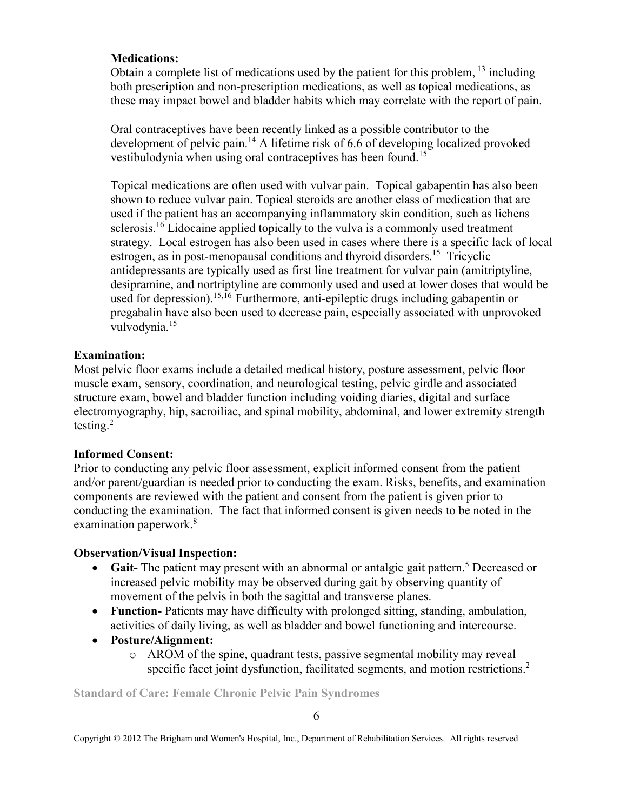# **Medications:**

Obtain a complete list of medications used by the patient for this problem,  $^{13}$  including both prescription and non-prescription medications, as well as topical medications, as these may impact bowel and bladder habits which may correlate with the report of pain.

Oral contraceptives have been recently linked as a possible contributor to the development of pelvic pain.<sup>14</sup> A lifetime risk of 6.6 of developing localized provoked vestibulodynia when using oral contraceptives has been found.<sup>15</sup>

Topical medications are often used with vulvar pain. Topical gabapentin has also been shown to reduce vulvar pain. Topical steroids are another class of medication that are used if the patient has an accompanying inflammatory skin condition, such as lichens sclerosis.<sup>16</sup> Lidocaine applied topically to the vulva is a commonly used treatment strategy. Local estrogen has also been used in cases where there is a specific lack of local estrogen, as in post-menopausal conditions and thyroid disorders.<sup>15</sup> Tricyclic antidepressants are typically used as first line treatment for vulvar pain (amitriptyline, desipramine, and nortriptyline are commonly used and used at lower doses that would be used for depression).15,16 Furthermore, anti-epileptic drugs including gabapentin or pregabalin have also been used to decrease pain, especially associated with unprovoked vulvodynia.<sup>15</sup>

# **Examination:**

Most pelvic floor exams include a detailed medical history, posture assessment, pelvic floor muscle exam, sensory, coordination, and neurological testing, pelvic girdle and associated structure exam, bowel and bladder function including voiding diaries, digital and surface electromyography, hip, sacroiliac, and spinal mobility, abdominal, and lower extremity strength testing. $^{2}$ 

# **Informed Consent:**

Prior to conducting any pelvic floor assessment, explicit informed consent from the patient and/or parent/guardian is needed prior to conducting the exam. Risks, benefits, and examination components are reviewed with the patient and consent from the patient is given prior to conducting the examination. The fact that informed consent is given needs to be noted in the examination paperwork.<sup>8</sup>

# **Observation/Visual Inspection:**

- Gait- The patient may present with an abnormal or antalgic gait pattern.<sup>5</sup> Decreased or increased pelvic mobility may be observed during gait by observing quantity of movement of the pelvis in both the sagittal and transverse planes.
- **Function-** Patients may have difficulty with prolonged sitting, standing, ambulation, activities of daily living, as well as bladder and bowel functioning and intercourse.
- **Posture/Alignment:** 
	- o AROM of the spine, quadrant tests, passive segmental mobility may reveal specific facet joint dysfunction, facilitated segments, and motion restrictions.<sup>2</sup>

**Standard of Care: Female Chronic Pelvic Pain Syndromes**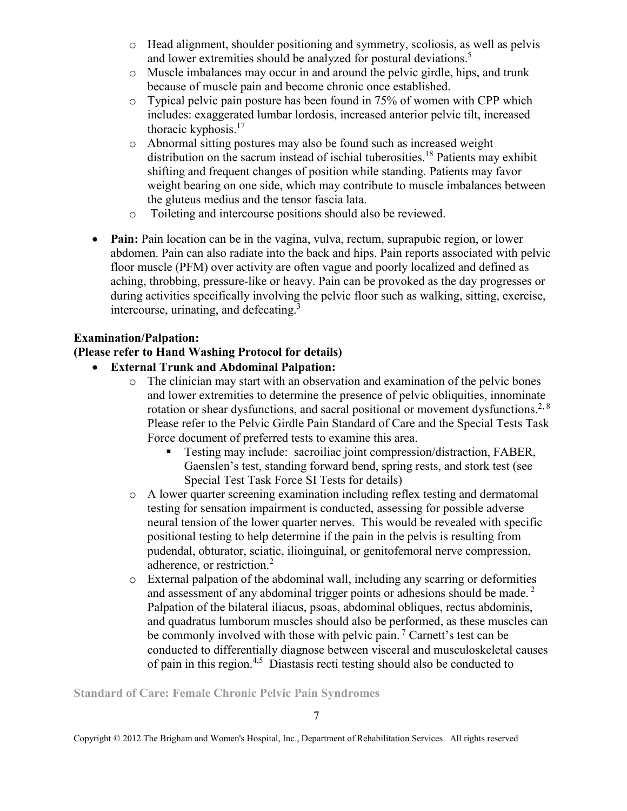- o Head alignment, shoulder positioning and symmetry, scoliosis, as well as pelvis and lower extremities should be analyzed for postural deviations.<sup>5</sup>
- o Muscle imbalances may occur in and around the pelvic girdle, hips, and trunk because of muscle pain and become chronic once established.
- o Typical pelvic pain posture has been found in 75% of women with CPP which includes: exaggerated lumbar lordosis, increased anterior pelvic tilt, increased thoracic kyphosis.<sup>17</sup>
- o Abnormal sitting postures may also be found such as increased weight distribution on the sacrum instead of ischial tuberosities.<sup>18</sup> Patients may exhibit shifting and frequent changes of position while standing. Patients may favor weight bearing on one side, which may contribute to muscle imbalances between the gluteus medius and the tensor fascia lata.
- o Toileting and intercourse positions should also be reviewed.
- **Pain:** Pain location can be in the vagina, vulva, rectum, suprapubic region, or lower abdomen. Pain can also radiate into the back and hips. Pain reports associated with pelvic floor muscle (PFM) over activity are often vague and poorly localized and defined as aching, throbbing, pressure-like or heavy. Pain can be provoked as the day progresses or during activities specifically involving the pelvic floor such as walking, sitting, exercise, intercourse, urinating, and defecating.<sup>3</sup>

# **Examination/Palpation:**

# **(Please refer to Hand Washing Protocol for details)**

- **External Trunk and Abdominal Palpation:**
	- o The clinician may start with an observation and examination of the pelvic bones and lower extremities to determine the presence of pelvic obliquities, innominate rotation or shear dysfunctions, and sacral positional or movement dysfunctions.<sup>2, 8</sup> Please refer to the Pelvic Girdle Pain Standard of Care and the Special Tests Task Force document of preferred tests to examine this area.
		- Testing may include: sacroiliac joint compression/distraction, FABER, Gaenslen's test, standing forward bend, spring rests, and stork test (see Special Test Task Force SI Tests for details)
	- o A lower quarter screening examination including reflex testing and dermatomal testing for sensation impairment is conducted, assessing for possible adverse neural tension of the lower quarter nerves. This would be revealed with specific positional testing to help determine if the pain in the pelvis is resulting from pudendal, obturator, sciatic, ilioinguinal, or genitofemoral nerve compression, adherence, or restriction.<sup>2</sup>
	- o External palpation of the abdominal wall, including any scarring or deformities and assessment of any abdominal trigger points or adhesions should be made.<sup>2</sup> Palpation of the bilateral iliacus, psoas, abdominal obliques, rectus abdominis, and quadratus lumborum muscles should also be performed, as these muscles can be commonly involved with those with pelvic pain.<sup>7</sup> Carnett's test can be conducted to differentially diagnose between visceral and musculoskeletal causes of pain in this region.4,5 Diastasis recti testing should also be conducted to

**Standard of Care: Female Chronic Pelvic Pain Syndromes**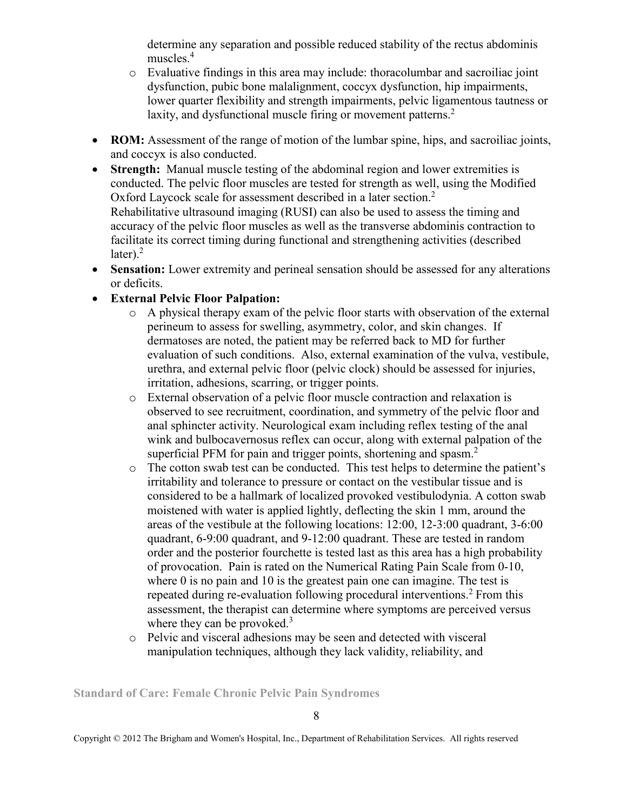determine any separation and possible reduced stability of the rectus abdominis muscles.<sup>4</sup>

- o Evaluative findings in this area may include: thoracolumbar and sacroiliac joint dysfunction, pubic bone malalignment, coccyx dysfunction, hip impairments, lower quarter flexibility and strength impairments, pelvic ligamentous tautness or laxity, and dysfunctional muscle firing or movement patterns.<sup>2</sup>
- **ROM:** Assessment of the range of motion of the lumbar spine, hips, and sacroiliac joints, and coccyx is also conducted.
- **Strength:** Manual muscle testing of the abdominal region and lower extremities is conducted. The pelvic floor muscles are tested for strength as well, using the Modified Oxford Laycock scale for assessment described in a later section.<sup>2</sup> Rehabilitative ultrasound imaging (RUSI) can also be used to assess the timing and accuracy of the pelvic floor muscles as well as the transverse abdominis contraction to facilitate its correct timing during functional and strengthening activities (described later). $^{2}$
- **Sensation:** Lower extremity and perineal sensation should be assessed for any alterations or deficits.
- **External Pelvic Floor Palpation:** 
	- o A physical therapy exam of the pelvic floor starts with observation of the external perineum to assess for swelling, asymmetry, color, and skin changes. If dermatoses are noted, the patient may be referred back to MD for further evaluation of such conditions. Also, external examination of the vulva, vestibule, urethra, and external pelvic floor (pelvic clock) should be assessed for injuries, irritation, adhesions, scarring, or trigger points.
	- o External observation of a pelvic floor muscle contraction and relaxation is observed to see recruitment, coordination, and symmetry of the pelvic floor and anal sphincter activity. Neurological exam including reflex testing of the anal wink and bulbocavernosus reflex can occur, along with external palpation of the superficial PFM for pain and trigger points, shortening and spasm.<sup>2</sup>
	- o The cotton swab test can be conducted. This test helps to determine the patient's irritability and tolerance to pressure or contact on the vestibular tissue and is considered to be a hallmark of localized provoked vestibulodynia. A cotton swab moistened with water is applied lightly, deflecting the skin 1 mm, around the areas of the vestibule at the following locations: 12:00, 12-3:00 quadrant, 3-6:00 quadrant, 6-9:00 quadrant, and 9-12:00 quadrant. These are tested in random order and the posterior fourchette is tested last as this area has a high probability of provocation. Pain is rated on the Numerical Rating Pain Scale from 0-10, where 0 is no pain and 10 is the greatest pain one can imagine. The test is repeated during re-evaluation following procedural interventions.<sup>2</sup> From this assessment, the therapist can determine where symptoms are perceived versus where they can be provoked.<sup>3</sup>
	- o Pelvic and visceral adhesions may be seen and detected with visceral manipulation techniques, although they lack validity, reliability, and

**Standard of Care: Female Chronic Pelvic Pain Syndromes**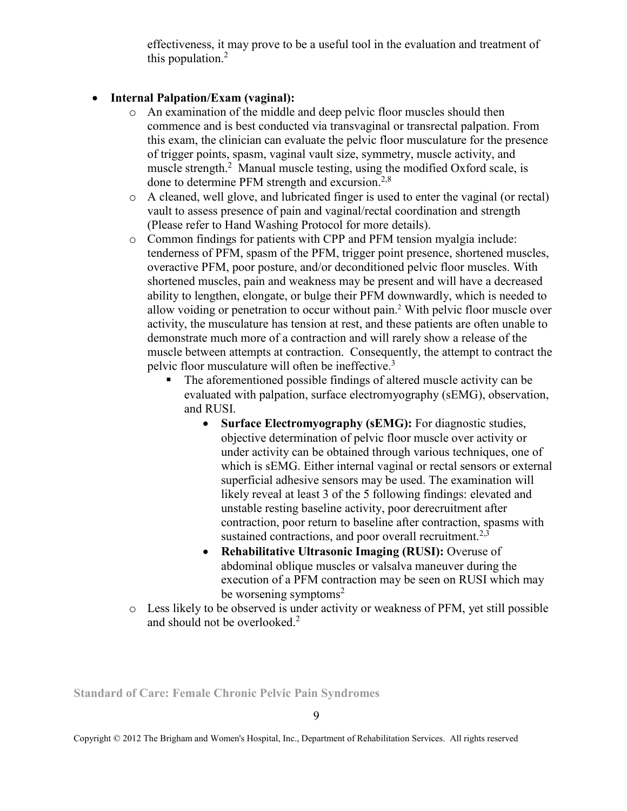effectiveness, it may prove to be a useful tool in the evaluation and treatment of this population.<sup>2</sup>

# • **Internal Palpation/Exam (vaginal):**

- o An examination of the middle and deep pelvic floor muscles should then commence and is best conducted via transvaginal or transrectal palpation. From this exam, the clinician can evaluate the pelvic floor musculature for the presence of trigger points, spasm, vaginal vault size, symmetry, muscle activity, and muscle strength.<sup>2</sup> Manual muscle testing, using the modified Oxford scale, is done to determine PFM strength and excursion.<sup>2,8</sup>
- o A cleaned, well glove, and lubricated finger is used to enter the vaginal (or rectal) vault to assess presence of pain and vaginal/rectal coordination and strength (Please refer to Hand Washing Protocol for more details).
- o Common findings for patients with CPP and PFM tension myalgia include: tenderness of PFM, spasm of the PFM, trigger point presence, shortened muscles, overactive PFM, poor posture, and/or deconditioned pelvic floor muscles. With shortened muscles, pain and weakness may be present and will have a decreased ability to lengthen, elongate, or bulge their PFM downwardly, which is needed to allow voiding or penetration to occur without pain.<sup>2</sup> With pelvic floor muscle over activity, the musculature has tension at rest, and these patients are often unable to demonstrate much more of a contraction and will rarely show a release of the muscle between attempts at contraction. Consequently, the attempt to contract the pelvic floor musculature will often be ineffective.<sup>3</sup>
	- The aforementioned possible findings of altered muscle activity can be evaluated with palpation, surface electromyography (sEMG), observation, and RUSI.
		- **Surface Electromyography (sEMG):** For diagnostic studies, objective determination of pelvic floor muscle over activity or under activity can be obtained through various techniques, one of which is sEMG. Either internal vaginal or rectal sensors or external superficial adhesive sensors may be used. The examination will likely reveal at least 3 of the 5 following findings: elevated and unstable resting baseline activity, poor derecruitment after contraction, poor return to baseline after contraction, spasms with sustained contractions, and poor overall recruitment.<sup>2,3</sup>
		- **Rehabilitative Ultrasonic Imaging (RUSI):** Overuse of abdominal oblique muscles or valsalva maneuver during the execution of a PFM contraction may be seen on RUSI which may be worsening symptoms<sup>2</sup>
- o Less likely to be observed is under activity or weakness of PFM, yet still possible and should not be overlooked.<sup>2</sup>

**Standard of Care: Female Chronic Pelvic Pain Syndromes**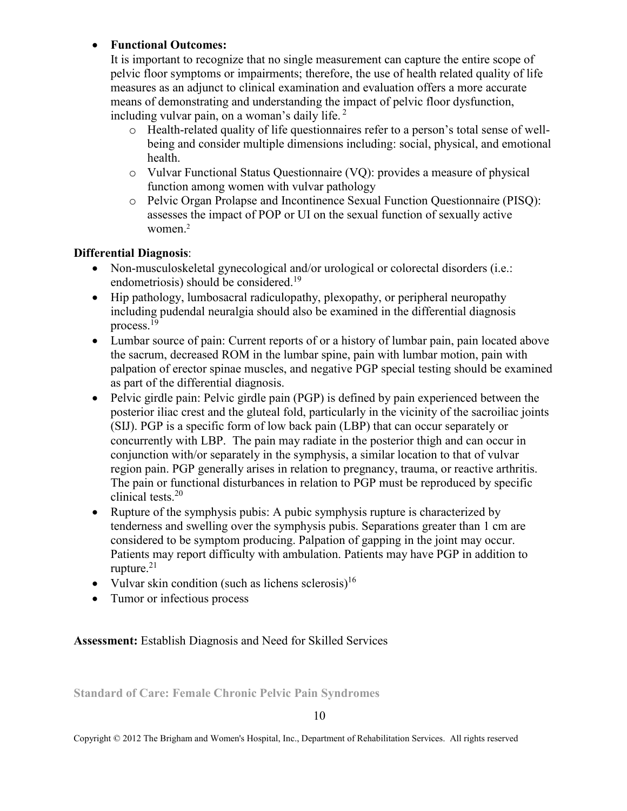# • **Functional Outcomes:**

It is important to recognize that no single measurement can capture the entire scope of pelvic floor symptoms or impairments; therefore, the use of health related quality of life measures as an adjunct to clinical examination and evaluation offers a more accurate means of demonstrating and understanding the impact of pelvic floor dysfunction, including vulvar pain, on a woman's daily life.  $2^{\circ}$ 

- o Health-related quality of life questionnaires refer to a person's total sense of wellbeing and consider multiple dimensions including: social, physical, and emotional health.
- o Vulvar Functional Status Questionnaire (VQ): provides a measure of physical function among women with vulvar pathology
- o Pelvic Organ Prolapse and Incontinence Sexual Function Questionnaire (PISQ): assesses the impact of POP or UI on the sexual function of sexually active women.<sup>2</sup>

# **Differential Diagnosis**:

- Non-musculoskeletal gynecological and/or urological or colorectal disorders (i.e.: endometriosis) should be considered.<sup>19</sup>
- Hip pathology, lumbosacral radiculopathy, plexopathy, or peripheral neuropathy including pudendal neuralgia should also be examined in the differential diagnosis process.<sup>19</sup>
- Lumbar source of pain: Current reports of or a history of lumbar pain, pain located above the sacrum, decreased ROM in the lumbar spine, pain with lumbar motion, pain with palpation of erector spinae muscles, and negative PGP special testing should be examined as part of the differential diagnosis.
- Pelvic girdle pain: Pelvic girdle pain (PGP) is defined by pain experienced between the posterior iliac crest and the gluteal fold, particularly in the vicinity of the sacroiliac joints (SIJ). PGP is a specific form of low back pain (LBP) that can occur separately or concurrently with LBP. The pain may radiate in the posterior thigh and can occur in conjunction with/or separately in the symphysis, a similar location to that of vulvar region pain. PGP generally arises in relation to pregnancy, trauma, or reactive arthritis. The pain or functional disturbances in relation to PGP must be reproduced by specific clinical tests.<sup>20</sup>
- Rupture of the symphysis pubis: A pubic symphysis rupture is characterized by tenderness and swelling over the symphysis pubis. Separations greater than 1 cm are considered to be symptom producing. Palpation of gapping in the joint may occur. Patients may report difficulty with ambulation. Patients may have PGP in addition to rupture. $21$
- Vulvar skin condition (such as lichens sclerosis)<sup>16</sup>
- Tumor or infectious process

**Assessment:** Establish Diagnosis and Need for Skilled Services

**Standard of Care: Female Chronic Pelvic Pain Syndromes** 

10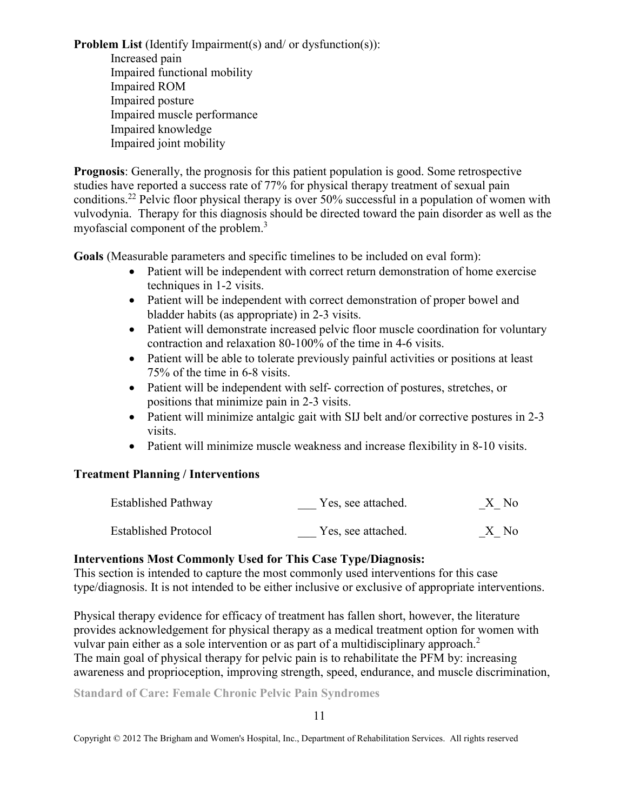**Problem List** (Identify Impairment(s) and/ or dysfunction(s)):

Increased pain Impaired functional mobility Impaired ROM Impaired posture Impaired muscle performance Impaired knowledge Impaired joint mobility

**Prognosis**: Generally, the prognosis for this patient population is good. Some retrospective studies have reported a success rate of 77% for physical therapy treatment of sexual pain conditions.<sup>22</sup> Pelvic floor physical therapy is over 50% successful in a population of women with vulvodynia. Therapy for this diagnosis should be directed toward the pain disorder as well as the myofascial component of the problem.<sup>3</sup>

**Goals** (Measurable parameters and specific timelines to be included on eval form):

- Patient will be independent with correct return demonstration of home exercise techniques in 1-2 visits.
- Patient will be independent with correct demonstration of proper bowel and bladder habits (as appropriate) in 2-3 visits.
- Patient will demonstrate increased pelvic floor muscle coordination for voluntary contraction and relaxation 80-100% of the time in 4-6 visits.
- Patient will be able to tolerate previously painful activities or positions at least 75% of the time in 6-8 visits.
- Patient will be independent with self- correction of postures, stretches, or positions that minimize pain in 2-3 visits.
- Patient will minimize antalgic gait with SIJ belt and/or corrective postures in 2-3 visits.
- Patient will minimize muscle weakness and increase flexibility in 8-10 visits.

# **Treatment Planning / Interventions**

| <b>Established Pathway</b>  | Yes, see attached. | X No |
|-----------------------------|--------------------|------|
| <b>Established Protocol</b> | Yes, see attached. | X No |

# **Interventions Most Commonly Used for This Case Type/Diagnosis:**

This section is intended to capture the most commonly used interventions for this case type/diagnosis. It is not intended to be either inclusive or exclusive of appropriate interventions.

Physical therapy evidence for efficacy of treatment has fallen short, however, the literature provides acknowledgement for physical therapy as a medical treatment option for women with vulvar pain either as a sole intervention or as part of a multidisciplinary approach.<sup>2</sup> The main goal of physical therapy for pelvic pain is to rehabilitate the PFM by: increasing awareness and proprioception, improving strength, speed, endurance, and muscle discrimination,

**Standard of Care: Female Chronic Pelvic Pain Syndromes**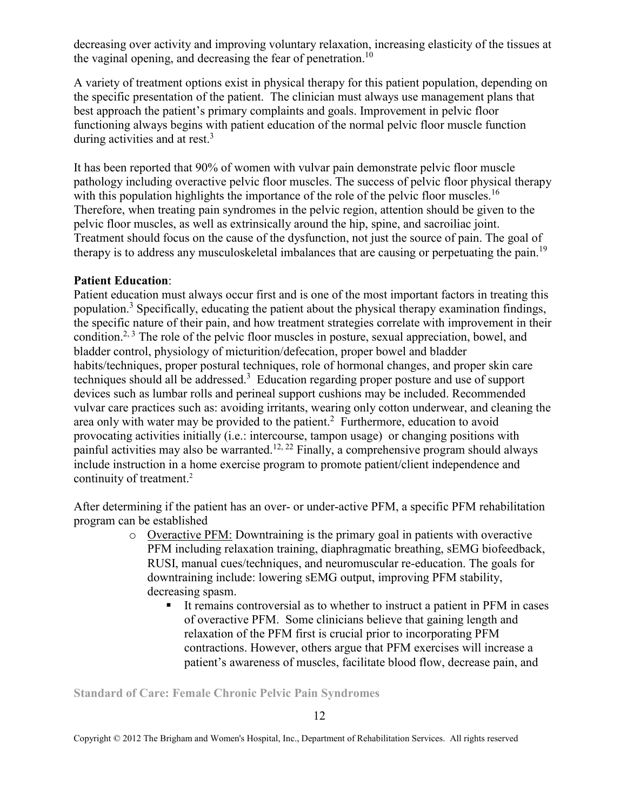decreasing over activity and improving voluntary relaxation, increasing elasticity of the tissues at the vaginal opening, and decreasing the fear of penetration.<sup>10</sup>

A variety of treatment options exist in physical therapy for this patient population, depending on the specific presentation of the patient. The clinician must always use management plans that best approach the patient's primary complaints and goals. Improvement in pelvic floor functioning always begins with patient education of the normal pelvic floor muscle function during activities and at rest.<sup>3</sup>

It has been reported that 90% of women with vulvar pain demonstrate pelvic floor muscle pathology including overactive pelvic floor muscles. The success of pelvic floor physical therapy with this population highlights the importance of the role of the pelvic floor muscles.<sup>16</sup> Therefore, when treating pain syndromes in the pelvic region, attention should be given to the pelvic floor muscles, as well as extrinsically around the hip, spine, and sacroiliac joint. Treatment should focus on the cause of the dysfunction, not just the source of pain. The goal of therapy is to address any musculoskeletal imbalances that are causing or perpetuating the pain.<sup>19</sup>

#### **Patient Education**:

Patient education must always occur first and is one of the most important factors in treating this population.<sup>3</sup> Specifically, educating the patient about the physical therapy examination findings, the specific nature of their pain, and how treatment strategies correlate with improvement in their condition.<sup>2, 3</sup> The role of the pelvic floor muscles in posture, sexual appreciation, bowel, and bladder control, physiology of micturition/defecation, proper bowel and bladder habits/techniques, proper postural techniques, role of hormonal changes, and proper skin care techniques should all be addressed.<sup>3</sup> Education regarding proper posture and use of support devices such as lumbar rolls and perineal support cushions may be included. Recommended vulvar care practices such as: avoiding irritants, wearing only cotton underwear, and cleaning the area only with water may be provided to the patient.<sup>2</sup> Furthermore, education to avoid provocating activities initially (i.e.: intercourse, tampon usage) or changing positions with painful activities may also be warranted.<sup>12, 22</sup> Finally, a comprehensive program should always include instruction in a home exercise program to promote patient/client independence and continuity of treatment.<sup>2</sup>

After determining if the patient has an over- or under-active PFM, a specific PFM rehabilitation program can be established

- o Overactive PFM: Downtraining is the primary goal in patients with overactive PFM including relaxation training, diaphragmatic breathing, sEMG biofeedback, RUSI, manual cues/techniques, and neuromuscular re-education. The goals for downtraining include: lowering sEMG output, improving PFM stability, decreasing spasm.
	- It remains controversial as to whether to instruct a patient in PFM in cases of overactive PFM. Some clinicians believe that gaining length and relaxation of the PFM first is crucial prior to incorporating PFM contractions. However, others argue that PFM exercises will increase a patient's awareness of muscles, facilitate blood flow, decrease pain, and

**Standard of Care: Female Chronic Pelvic Pain Syndromes**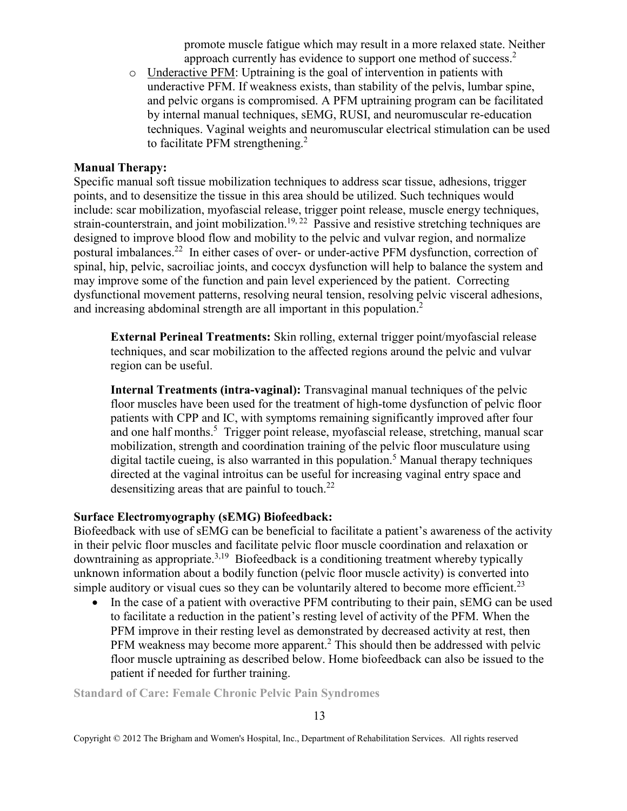promote muscle fatigue which may result in a more relaxed state. Neither approach currently has evidence to support one method of success.<sup>2</sup>

o Underactive PFM: Uptraining is the goal of intervention in patients with underactive PFM. If weakness exists, than stability of the pelvis, lumbar spine, and pelvic organs is compromised. A PFM uptraining program can be facilitated by internal manual techniques, sEMG, RUSI, and neuromuscular re-education techniques. Vaginal weights and neuromuscular electrical stimulation can be used to facilitate PFM strengthening.<sup>2</sup>

#### **Manual Therapy:**

Specific manual soft tissue mobilization techniques to address scar tissue, adhesions, trigger points, and to desensitize the tissue in this area should be utilized. Such techniques would include: scar mobilization, myofascial release, trigger point release, muscle energy techniques, strain-counterstrain, and joint mobilization.<sup>19, 22</sup> Passive and resistive stretching techniques are designed to improve blood flow and mobility to the pelvic and vulvar region, and normalize postural imbalances.<sup>22</sup> In either cases of over- or under-active PFM dysfunction, correction of spinal, hip, pelvic, sacroiliac joints, and coccyx dysfunction will help to balance the system and may improve some of the function and pain level experienced by the patient. Correcting dysfunctional movement patterns, resolving neural tension, resolving pelvic visceral adhesions, and increasing abdominal strength are all important in this population.<sup>2</sup>

**External Perineal Treatments:** Skin rolling, external trigger point/myofascial release techniques, and scar mobilization to the affected regions around the pelvic and vulvar region can be useful.

**Internal Treatments (intra-vaginal):** Transvaginal manual techniques of the pelvic floor muscles have been used for the treatment of high-tome dysfunction of pelvic floor patients with CPP and IC, with symptoms remaining significantly improved after four and one half months.<sup>5</sup> Trigger point release, myofascial release, stretching, manual scar mobilization, strength and coordination training of the pelvic floor musculature using digital tactile cueing, is also warranted in this population.<sup>5</sup> Manual therapy techniques directed at the vaginal introitus can be useful for increasing vaginal entry space and desensitizing areas that are painful to touch.<sup>22</sup>

#### **Surface Electromyography (sEMG) Biofeedback:**

Biofeedback with use of sEMG can be beneficial to facilitate a patient's awareness of the activity in their pelvic floor muscles and facilitate pelvic floor muscle coordination and relaxation or downtraining as appropriate.<sup>3,19</sup> Biofeedback is a conditioning treatment whereby typically unknown information about a bodily function (pelvic floor muscle activity) is converted into simple auditory or visual cues so they can be voluntarily altered to become more efficient.<sup>23</sup>

• In the case of a patient with overactive PFM contributing to their pain, sEMG can be used to facilitate a reduction in the patient's resting level of activity of the PFM. When the PFM improve in their resting level as demonstrated by decreased activity at rest, then PFM weakness may become more apparent.<sup>2</sup> This should then be addressed with pelvic floor muscle uptraining as described below. Home biofeedback can also be issued to the patient if needed for further training.

**Standard of Care: Female Chronic Pelvic Pain Syndromes**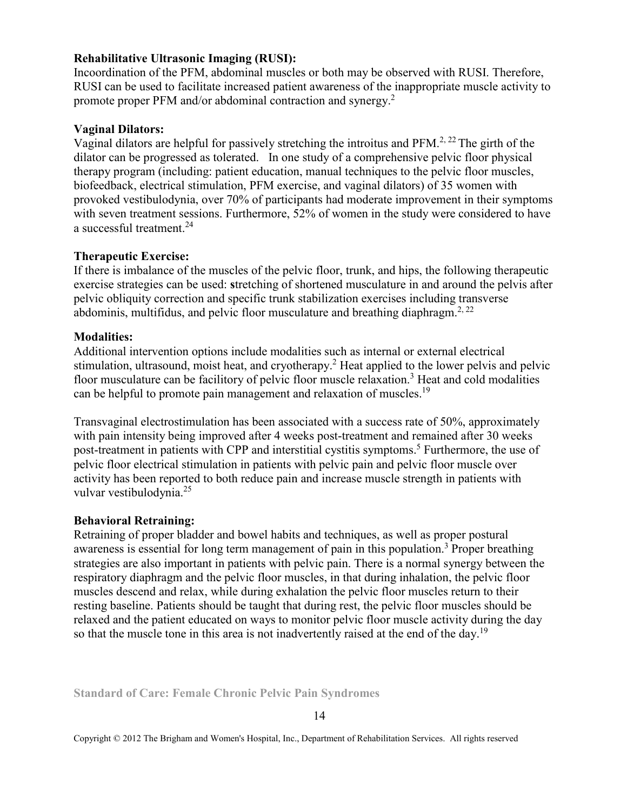## **Rehabilitative Ultrasonic Imaging (RUSI):**

Incoordination of the PFM, abdominal muscles or both may be observed with RUSI. Therefore, RUSI can be used to facilitate increased patient awareness of the inappropriate muscle activity to promote proper PFM and/or abdominal contraction and synergy.<sup>2</sup>

### **Vaginal Dilators:**

Vaginal dilators are helpful for passively stretching the introitus and  $PFM<sup>2, 22</sup>$ . The girth of the dilator can be progressed as tolerated. In one study of a comprehensive pelvic floor physical therapy program (including: patient education, manual techniques to the pelvic floor muscles, biofeedback, electrical stimulation, PFM exercise, and vaginal dilators) of 35 women with provoked vestibulodynia, over 70% of participants had moderate improvement in their symptoms with seven treatment sessions. Furthermore, 52% of women in the study were considered to have a successful treatment.<sup>24</sup>

#### **Therapeutic Exercise:**

If there is imbalance of the muscles of the pelvic floor, trunk, and hips, the following therapeutic exercise strategies can be used: **s**tretching of shortened musculature in and around the pelvis after pelvic obliquity correction and specific trunk stabilization exercises including transverse abdominis, multifidus, and pelvic floor musculature and breathing diaphragm.<sup>2, 22</sup>

#### **Modalities:**

Additional intervention options include modalities such as internal or external electrical stimulation, ultrasound, moist heat, and cryotherapy.<sup>2</sup> Heat applied to the lower pelvis and pelvic floor musculature can be facilitory of pelvic floor muscle relaxation.<sup>3</sup> Heat and cold modalities can be helpful to promote pain management and relaxation of muscles.<sup>19</sup>

Transvaginal electrostimulation has been associated with a success rate of 50%, approximately with pain intensity being improved after 4 weeks post-treatment and remained after 30 weeks post-treatment in patients with CPP and interstitial cystitis symptoms.<sup>5</sup> Furthermore, the use of pelvic floor electrical stimulation in patients with pelvic pain and pelvic floor muscle over activity has been reported to both reduce pain and increase muscle strength in patients with vulvar vestibulodynia.<sup>25</sup>

#### **Behavioral Retraining:**

Retraining of proper bladder and bowel habits and techniques, as well as proper postural awareness is essential for long term management of pain in this population.<sup>3</sup> Proper breathing strategies are also important in patients with pelvic pain. There is a normal synergy between the respiratory diaphragm and the pelvic floor muscles, in that during inhalation, the pelvic floor muscles descend and relax, while during exhalation the pelvic floor muscles return to their resting baseline. Patients should be taught that during rest, the pelvic floor muscles should be relaxed and the patient educated on ways to monitor pelvic floor muscle activity during the day so that the muscle tone in this area is not inadvertently raised at the end of the day.<sup>19</sup>

**Standard of Care: Female Chronic Pelvic Pain Syndromes**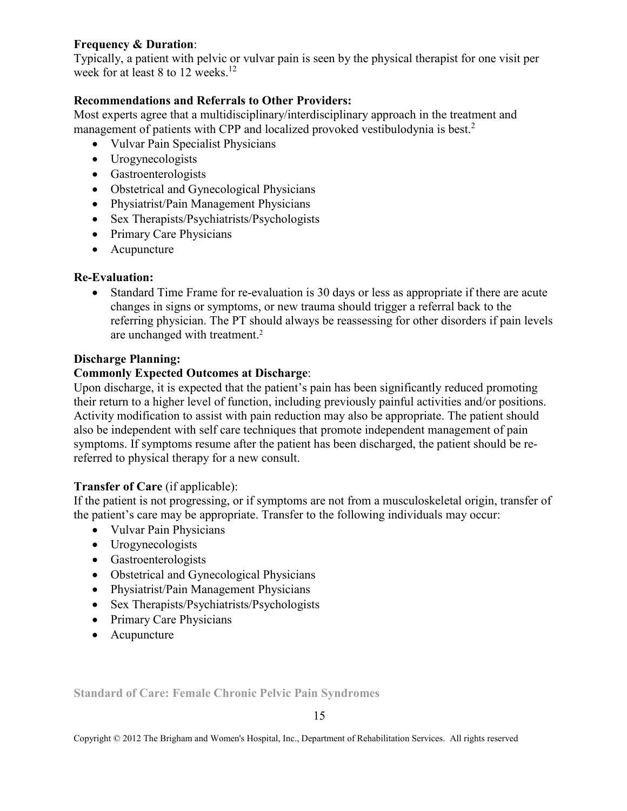# **Frequency & Duration**:

Typically, a patient with pelvic or vulvar pain is seen by the physical therapist for one visit per week for at least 8 to 12 weeks.<sup>12</sup>

# **Recommendations and Referrals to Other Providers:**

Most experts agree that a multidisciplinary/interdisciplinary approach in the treatment and management of patients with CPP and localized provoked vestibulodynia is best.<sup>2</sup>

- Vulvar Pain Specialist Physicians
- Urogynecologists
- Gastroenterologists
- Obstetrical and Gynecological Physicians
- Physiatrist/Pain Management Physicians
- Sex Therapists/Psychiatrists/Psychologists
- Primary Care Physicians
- Acupuncture

# **Re-Evaluation:**

• Standard Time Frame for re-evaluation is 30 days or less as appropriate if there are acute changes in signs or symptoms, or new trauma should trigger a referral back to the referring physician. The PT should always be reassessing for other disorders if pain levels are unchanged with treatment.<sup>2</sup>

## **Discharge Planning:**

# **Commonly Expected Outcomes at Discharge**:

Upon discharge, it is expected that the patient's pain has been significantly reduced promoting their return to a higher level of function, including previously painful activities and/or positions. Activity modification to assist with pain reduction may also be appropriate. The patient should also be independent with self care techniques that promote independent management of pain symptoms. If symptoms resume after the patient has been discharged, the patient should be rereferred to physical therapy for a new consult.

# **Transfer of Care** (if applicable):

If the patient is not progressing, or if symptoms are not from a musculoskeletal origin, transfer of the patient's care may be appropriate. Transfer to the following individuals may occur:

- Vulvar Pain Physicians
- Urogynecologists
- Gastroenterologists
- Obstetrical and Gynecological Physicians
- Physiatrist/Pain Management Physicians
- Sex Therapists/Psychiatrists/Psychologists
- Primary Care Physicians
- Acupuncture

**Standard of Care: Female Chronic Pelvic Pain Syndromes** 

15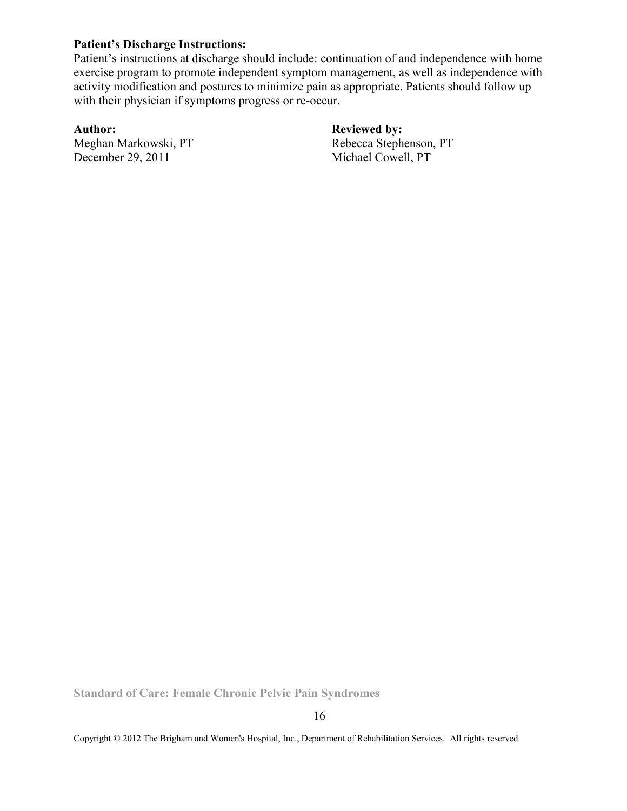### **Patient's Discharge Instructions:**

Patient's instructions at discharge should include: continuation of and independence with home exercise program to promote independent symptom management, as well as independence with activity modification and postures to minimize pain as appropriate. Patients should follow up with their physician if symptoms progress or re-occur.

December 29, 2011 Michael Cowell, PT

Author: **Reviewed by: Reviewed by: Replace Author: Replace Author: Replace Author: Replace Author: Replace Author: Replace Author: Replace Author: Replace Author: Replace Author: Replace Author: Rep** Rebecca Stephenson, PT

**Standard of Care: Female Chronic Pelvic Pain Syndromes**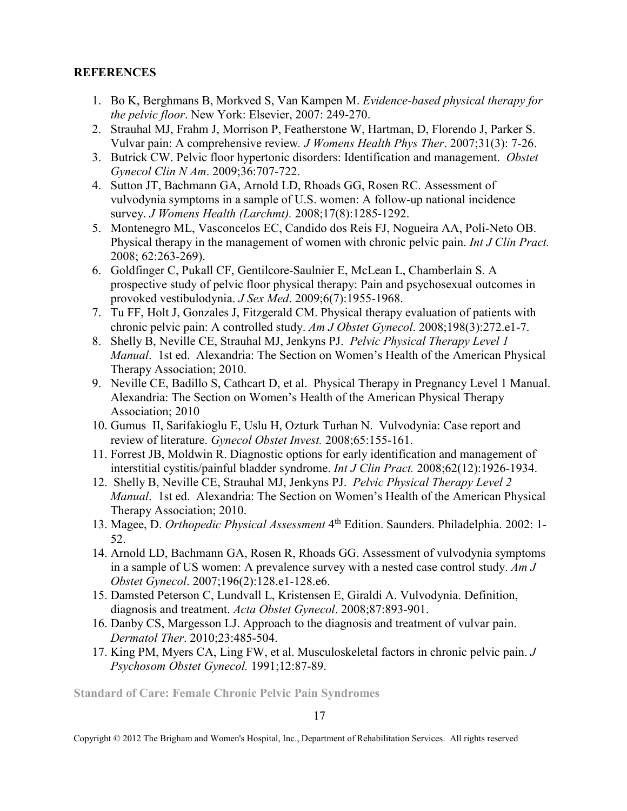# **REFERENCES**

- 1. Bo K, Berghmans B, Morkved S, Van Kampen M. *Evidence-based physical therapy for the pelvic floor*. New York: Elsevier, 2007: 249-270.
- 2. Strauhal MJ, Frahm J, Morrison P, Featherstone W, Hartman, D, Florendo J, Parker S. Vulvar pain: A comprehensive review*. J Womens Health Phys Ther*. 2007;31(3): 7-26.
- 3. Butrick CW. Pelvic floor hypertonic disorders: Identification and management. *Obstet Gynecol Clin N Am*. 2009;36:707-722.
- 4. Sutton JT, Bachmann GA, Arnold LD, Rhoads GG, Rosen RC. Assessment of vulvodynia symptoms in a sample of U.S. women: A follow-up national incidence survey. *J Womens Health (Larchmt).* 2008;17(8):1285-1292.
- 5. Montenegro ML, Vasconcelos EC, Candido dos Reis FJ, Nogueira AA, Poli-Neto OB. Physical therapy in the management of women with chronic pelvic pain. *Int J Clin Pract.*  2008; 62:263-269).
- 6. Goldfinger C, Pukall CF, Gentilcore-Saulnier E, McLean L, Chamberlain S. A prospective study of pelvic floor physical therapy: Pain and psychosexual outcomes in provoked vestibulodynia. *J Sex Med*. 2009;6(7):1955-1968.
- 7. Tu FF, Holt J, Gonzales J, Fitzgerald CM. Physical therapy evaluation of patients with chronic pelvic pain: A controlled study. *Am J Obstet Gynecol*. 2008;198(3):272.e1-7.
- 8. Shelly B, Neville CE, Strauhal MJ, Jenkyns PJ. *Pelvic Physical Therapy Level 1 Manual*. 1st ed. Alexandria: The Section on Women's Health of the American Physical Therapy Association; 2010.
- 9. Neville CE, Badillo S, Cathcart D, et al. Physical Therapy in Pregnancy Level 1 Manual. Alexandria: The Section on Women's Health of the American Physical Therapy Association; 2010
- 10. Gumus II, Sarifakioglu E, Uslu H, Ozturk Turhan N. Vulvodynia: Case report and review of literature. *Gynecol Obstet Invest.* 2008;65:155-161.
- 11. Forrest JB, Moldwin R. Diagnostic options for early identification and management of interstitial cystitis/painful bladder syndrome. *Int J Clin Pract.* 2008;62(12):1926-1934.
- 12. Shelly B, Neville CE, Strauhal MJ, Jenkyns PJ. *Pelvic Physical Therapy Level 2 Manual*. 1st ed. Alexandria: The Section on Women's Health of the American Physical Therapy Association; 2010.
- 13. Magee, D. *Orthopedic Physical Assessment* 4th Edition. Saunders. Philadelphia. 2002: 1- 52.
- 14. Arnold LD, Bachmann GA, Rosen R, Rhoads GG. Assessment of vulvodynia symptoms in a sample of US women: A prevalence survey with a nested case control study. *Am J Obstet Gynecol*. 2007;196(2):128.e1-128.e6.
- 15. Damsted Peterson C, Lundvall L, Kristensen E, Giraldi A. Vulvodynia. Definition, diagnosis and treatment. *Acta Obstet Gynecol*. 2008;87:893-901.
- 16. Danby CS, Margesson LJ. Approach to the diagnosis and treatment of vulvar pain. *Dermatol Ther*. 2010;23:485-504.
- 17. King PM, Myers CA, Ling FW, et al. Musculoskeletal factors in chronic pelvic pain. *J Psychosom Obstet Gynecol.* 1991;12:87-89.

**Standard of Care: Female Chronic Pelvic Pain Syndromes**